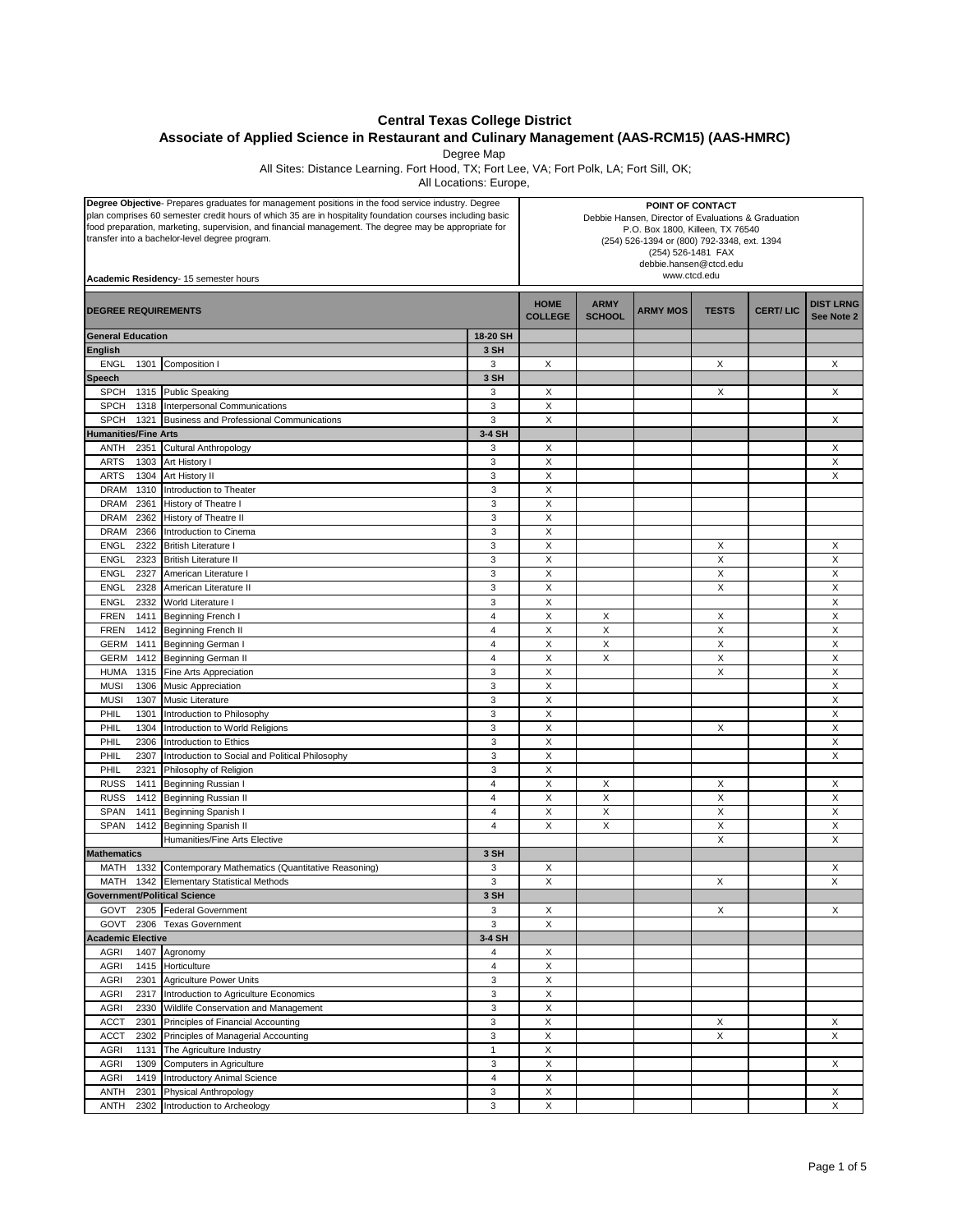## **Central Texas College District**

**Associate of Applied Science in Restaurant and Culinary Management (AAS-RCM15) (AAS-HMRC)**

Degree Map

All Sites: Distance Learning. Fort Hood, TX; Fort Lee, VA; Fort Polk, LA; Fort Sill, OK;

All Locations: Europe,

| Degree Objective- Prepares graduates for management positions in the food service industry. Degree<br>plan comprises 60 semester credit hours of which 35 are in hospitality foundation courses including basic<br>food preparation, marketing, supervision, and financial management. The degree may be appropriate for<br>transfer into a bachelor-level degree program.<br>Academic Residency- 15 semester hours |                                                    | POINT OF CONTACT<br>Debbie Hansen, Director of Evaluations & Graduation<br>P.O. Box 1800, Killeen, TX 76540<br>(254) 526-1394 or (800) 792-3348, ext. 1394<br>(254) 526-1481 FAX<br>debbie.hansen@ctcd.edu<br>www.ctcd.edu |                               |                              |                 |              |                 |                                |
|---------------------------------------------------------------------------------------------------------------------------------------------------------------------------------------------------------------------------------------------------------------------------------------------------------------------------------------------------------------------------------------------------------------------|----------------------------------------------------|----------------------------------------------------------------------------------------------------------------------------------------------------------------------------------------------------------------------------|-------------------------------|------------------------------|-----------------|--------------|-----------------|--------------------------------|
| <b>DEGREE REQUIREMENTS</b>                                                                                                                                                                                                                                                                                                                                                                                          |                                                    |                                                                                                                                                                                                                            | <b>HOME</b><br><b>COLLEGE</b> | <b>ARMY</b><br><b>SCHOOL</b> | <b>ARMY MOS</b> | <b>TESTS</b> | <b>CERT/LIC</b> | <b>DIST LRNG</b><br>See Note 2 |
| <b>General Education</b>                                                                                                                                                                                                                                                                                                                                                                                            |                                                    | 18-20 SH                                                                                                                                                                                                                   |                               |                              |                 |              |                 |                                |
| <b>English</b>                                                                                                                                                                                                                                                                                                                                                                                                      |                                                    | 3 SH                                                                                                                                                                                                                       |                               |                              |                 |              |                 |                                |
| <b>ENGL</b><br>1301                                                                                                                                                                                                                                                                                                                                                                                                 | Composition I                                      | 3                                                                                                                                                                                                                          | Х                             |                              |                 | X            |                 | X                              |
| Speech                                                                                                                                                                                                                                                                                                                                                                                                              |                                                    | 3 SH                                                                                                                                                                                                                       |                               |                              |                 |              |                 |                                |
| <b>SPCH</b>                                                                                                                                                                                                                                                                                                                                                                                                         | 1315 Public Speaking                               | 3                                                                                                                                                                                                                          | Х                             |                              |                 | Χ            |                 | Χ                              |
| <b>SPCH</b><br>1318                                                                                                                                                                                                                                                                                                                                                                                                 | Interpersonal Communications                       | 3                                                                                                                                                                                                                          | X                             |                              |                 |              |                 |                                |
| <b>SPCH</b><br>1321                                                                                                                                                                                                                                                                                                                                                                                                 | <b>Business and Professional Communications</b>    | 3                                                                                                                                                                                                                          | X                             |                              |                 |              |                 | X                              |
| <b>Humanities/Fine Arts</b>                                                                                                                                                                                                                                                                                                                                                                                         |                                                    | 3-4 SH                                                                                                                                                                                                                     |                               |                              |                 |              |                 |                                |
| 2351<br>ANTH                                                                                                                                                                                                                                                                                                                                                                                                        | Cultural Anthropology                              | 3                                                                                                                                                                                                                          | Х                             |                              |                 |              |                 | Χ                              |
| <b>ARTS</b><br>1303                                                                                                                                                                                                                                                                                                                                                                                                 | Art History I                                      | 3                                                                                                                                                                                                                          | X                             |                              |                 |              |                 | X                              |
| <b>ARTS</b><br>1304<br><b>DRAM</b>                                                                                                                                                                                                                                                                                                                                                                                  | Art History II                                     | 3<br>3                                                                                                                                                                                                                     | X<br>X                        |                              |                 |              |                 | X                              |
| 1310<br><b>DRAM</b><br>2361                                                                                                                                                                                                                                                                                                                                                                                         | Introduction to Theater<br>History of Theatre I    | 3                                                                                                                                                                                                                          | X                             |                              |                 |              |                 |                                |
| <b>DRAM</b><br>2362                                                                                                                                                                                                                                                                                                                                                                                                 | History of Theatre II                              | 3                                                                                                                                                                                                                          | X                             |                              |                 |              |                 |                                |
| <b>DRAM</b><br>2366                                                                                                                                                                                                                                                                                                                                                                                                 | Introduction to Cinema                             | 3                                                                                                                                                                                                                          | X                             |                              |                 |              |                 |                                |
| <b>ENGL</b><br>2322                                                                                                                                                                                                                                                                                                                                                                                                 | <b>British Literature I</b>                        | 3                                                                                                                                                                                                                          | X                             |                              |                 | X            |                 | Χ                              |
| <b>ENGL</b><br>2323                                                                                                                                                                                                                                                                                                                                                                                                 | <b>British Literature II</b>                       | 3                                                                                                                                                                                                                          | X                             |                              |                 | X            |                 | X                              |
| <b>ENGL</b><br>2327                                                                                                                                                                                                                                                                                                                                                                                                 | American Literature                                | 3                                                                                                                                                                                                                          | $\boldsymbol{\mathsf{X}}$     |                              |                 | X            |                 | X                              |
| <b>ENGL</b><br>2328                                                                                                                                                                                                                                                                                                                                                                                                 | American Literature II                             | 3                                                                                                                                                                                                                          | X                             |                              |                 | X            |                 | X                              |
| <b>ENGL</b><br>2332                                                                                                                                                                                                                                                                                                                                                                                                 | World Literature I                                 | 3                                                                                                                                                                                                                          | X                             |                              |                 |              |                 | X                              |
| <b>FREN</b><br>1411                                                                                                                                                                                                                                                                                                                                                                                                 | Beginning French I                                 | $\overline{4}$                                                                                                                                                                                                             | X                             | X                            |                 | X            |                 | X                              |
| <b>FREN</b><br>1412                                                                                                                                                                                                                                                                                                                                                                                                 | Beginning French II                                | $\overline{4}$                                                                                                                                                                                                             | X                             | $\mathsf X$                  |                 | X            |                 | X                              |
| <b>GERM</b><br>1411                                                                                                                                                                                                                                                                                                                                                                                                 | Beginning German I                                 | $\overline{4}$                                                                                                                                                                                                             | X                             | X                            |                 | X            |                 | X                              |
| <b>GERM</b><br>1412                                                                                                                                                                                                                                                                                                                                                                                                 | <b>Beginning German II</b>                         | $\overline{4}$                                                                                                                                                                                                             | X                             | X                            |                 | X            |                 | X                              |
| 1315<br><b>HUMA</b>                                                                                                                                                                                                                                                                                                                                                                                                 | Fine Arts Appreciation                             | 3                                                                                                                                                                                                                          | X                             |                              |                 | X            |                 | X                              |
| <b>MUSI</b><br>1306                                                                                                                                                                                                                                                                                                                                                                                                 | Music Appreciation                                 | 3                                                                                                                                                                                                                          | X                             |                              |                 |              |                 | X                              |
| <b>MUSI</b><br>1307                                                                                                                                                                                                                                                                                                                                                                                                 | Music Literature                                   | 3                                                                                                                                                                                                                          | X                             |                              |                 |              |                 | X                              |
| PHIL<br>1301                                                                                                                                                                                                                                                                                                                                                                                                        | Introduction to Philosophy                         | 3                                                                                                                                                                                                                          | X                             |                              |                 |              |                 | X                              |
| PHIL<br>1304                                                                                                                                                                                                                                                                                                                                                                                                        | Introduction to World Religions                    | 3                                                                                                                                                                                                                          | X                             |                              |                 | X            |                 | X                              |
| PHIL<br>2306                                                                                                                                                                                                                                                                                                                                                                                                        | Introduction to Ethics                             | 3                                                                                                                                                                                                                          | X                             |                              |                 |              |                 | X                              |
| PHIL<br>2307                                                                                                                                                                                                                                                                                                                                                                                                        | Introduction to Social and Political Philosophy    | 3                                                                                                                                                                                                                          | X                             |                              |                 |              |                 | X                              |
| PHIL<br>2321                                                                                                                                                                                                                                                                                                                                                                                                        | Philosophy of Religion                             | 3                                                                                                                                                                                                                          | X                             |                              |                 |              |                 |                                |
| <b>RUSS</b><br>1411                                                                                                                                                                                                                                                                                                                                                                                                 | Beginning Russian I                                | $\overline{4}$                                                                                                                                                                                                             | X                             | X                            |                 | X            |                 | Χ                              |
| <b>RUSS</b><br>1412                                                                                                                                                                                                                                                                                                                                                                                                 | <b>Beginning Russian II</b>                        | $\overline{4}$                                                                                                                                                                                                             | X                             | X                            |                 | X            |                 | X                              |
| SPAN<br>1411                                                                                                                                                                                                                                                                                                                                                                                                        | Beginning Spanish I                                | $\overline{4}$                                                                                                                                                                                                             | X                             | X                            |                 | X            |                 | X                              |
| SPAN<br>1412                                                                                                                                                                                                                                                                                                                                                                                                        | Beginning Spanish II                               | $\overline{4}$                                                                                                                                                                                                             | X                             | $\mathsf X$                  |                 | $\mathsf X$  |                 | X                              |
|                                                                                                                                                                                                                                                                                                                                                                                                                     | Humanities/Fine Arts Elective                      |                                                                                                                                                                                                                            |                               |                              |                 | X            |                 | X                              |
| <b>Mathematics</b>                                                                                                                                                                                                                                                                                                                                                                                                  |                                                    | 3 SH                                                                                                                                                                                                                       |                               |                              |                 |              |                 |                                |
| MATH<br>1332                                                                                                                                                                                                                                                                                                                                                                                                        | Contemporary Mathematics (Quantitative Reasoning)  | 3                                                                                                                                                                                                                          | Х                             |                              |                 |              |                 | X<br>$\boldsymbol{\mathsf{X}}$ |
| MATH                                                                                                                                                                                                                                                                                                                                                                                                                | 1342 Elementary Statistical Methods                | 3                                                                                                                                                                                                                          | X                             |                              |                 | X            |                 |                                |
| <b>Government/Political Science</b><br>GOVT                                                                                                                                                                                                                                                                                                                                                                         |                                                    | 3 SH<br>3                                                                                                                                                                                                                  |                               |                              |                 | X            |                 | X                              |
| GOVT<br>2306                                                                                                                                                                                                                                                                                                                                                                                                        | 2305 Federal Government<br><b>Texas Government</b> | 3                                                                                                                                                                                                                          | Χ<br>X                        |                              |                 |              |                 |                                |
| <b>Academic Elective</b>                                                                                                                                                                                                                                                                                                                                                                                            |                                                    | 3-4 SH                                                                                                                                                                                                                     |                               |                              |                 |              |                 |                                |
| 1407<br>AGRI                                                                                                                                                                                                                                                                                                                                                                                                        | Agronomy                                           | 4                                                                                                                                                                                                                          | X                             |                              |                 |              |                 |                                |
| <b>AGRI</b><br>1415                                                                                                                                                                                                                                                                                                                                                                                                 | Horticulture                                       | $\overline{\mathbf{4}}$                                                                                                                                                                                                    | $\mathsf X$                   |                              |                 |              |                 |                                |
| <b>AGRI</b><br>2301                                                                                                                                                                                                                                                                                                                                                                                                 | Agriculture Power Units                            | 3                                                                                                                                                                                                                          | X                             |                              |                 |              |                 |                                |
| <b>AGRI</b><br>2317                                                                                                                                                                                                                                                                                                                                                                                                 | Introduction to Agriculture Economics              | 3                                                                                                                                                                                                                          | $\mathsf X$                   |                              |                 |              |                 |                                |
| <b>AGRI</b><br>2330                                                                                                                                                                                                                                                                                                                                                                                                 | Wildlife Conservation and Management               | 3                                                                                                                                                                                                                          | X                             |                              |                 |              |                 |                                |
| <b>ACCT</b><br>2301                                                                                                                                                                                                                                                                                                                                                                                                 | Principles of Financial Accounting                 | 3                                                                                                                                                                                                                          | $\mathsf X$                   |                              |                 | X            |                 | X                              |
| <b>ACCT</b><br>2302                                                                                                                                                                                                                                                                                                                                                                                                 | Principles of Managerial Accounting                | 3                                                                                                                                                                                                                          | X                             |                              |                 | $\mathsf X$  |                 | X                              |
| <b>AGRI</b><br>1131                                                                                                                                                                                                                                                                                                                                                                                                 | The Agriculture Industry                           | $\mathbf{1}$                                                                                                                                                                                                               | X                             |                              |                 |              |                 |                                |
| <b>AGRI</b><br>1309                                                                                                                                                                                                                                                                                                                                                                                                 | Computers in Agriculture                           | 3                                                                                                                                                                                                                          | X                             |                              |                 |              |                 | X                              |
| <b>AGRI</b><br>1419                                                                                                                                                                                                                                                                                                                                                                                                 | Introductory Animal Science                        | $\overline{\mathbf{4}}$                                                                                                                                                                                                    | $\mathsf X$                   |                              |                 |              |                 |                                |
| ANTH<br>2301                                                                                                                                                                                                                                                                                                                                                                                                        | Physical Anthropology                              | 3                                                                                                                                                                                                                          | X                             |                              |                 |              |                 | X                              |
| <b>ANTH</b><br>2302                                                                                                                                                                                                                                                                                                                                                                                                 | Introduction to Archeology                         | 3                                                                                                                                                                                                                          | $\mathsf X$                   |                              |                 |              |                 | X                              |
|                                                                                                                                                                                                                                                                                                                                                                                                                     |                                                    |                                                                                                                                                                                                                            |                               |                              |                 |              |                 |                                |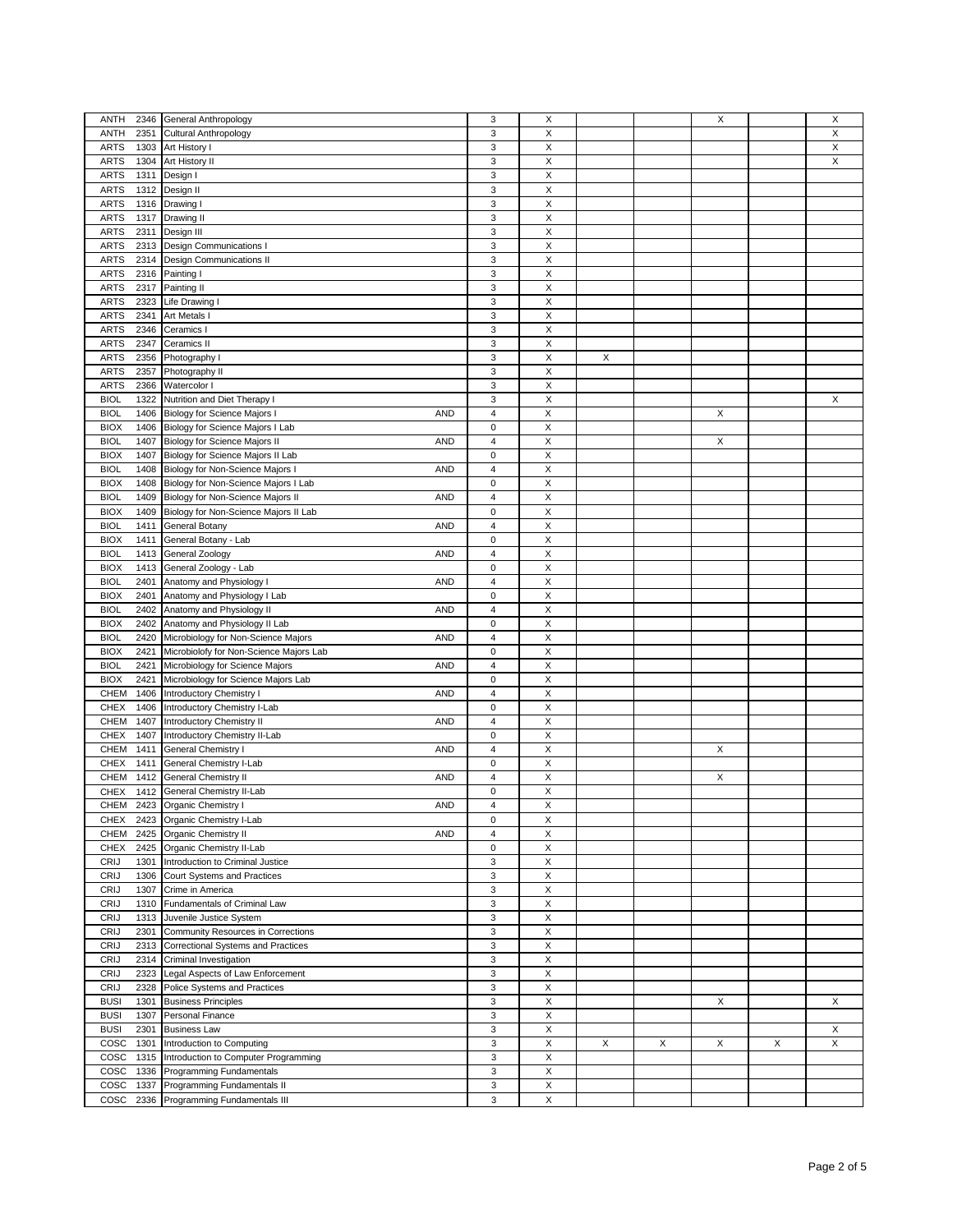| ANTH                | 2346 General Anthropology                         | 3                       | X                         |   |   | X |   | X           |
|---------------------|---------------------------------------------------|-------------------------|---------------------------|---|---|---|---|-------------|
| ANTH<br>2351        | <b>Cultural Anthropology</b>                      | 3                       | X                         |   |   |   |   | X           |
| <b>ARTS</b>         |                                                   | 3                       | X                         |   |   |   |   | X           |
|                     | 1303 Art History I                                |                         |                           |   |   |   |   | $\mathsf X$ |
| <b>ARTS</b><br>1304 | Art History II                                    | 3                       | X                         |   |   |   |   |             |
| <b>ARTS</b><br>1311 | Design I                                          | 3                       | X                         |   |   |   |   |             |
| <b>ARTS</b><br>1312 | Design II                                         | 3                       | X                         |   |   |   |   |             |
| <b>ARTS</b><br>1316 | Drawing I                                         | 3                       | X                         |   |   |   |   |             |
| <b>ARTS</b>         | 1317 Drawing II                                   | 3                       | X                         |   |   |   |   |             |
| <b>ARTS</b><br>2311 | Design III                                        | 3                       | X                         |   |   |   |   |             |
| <b>ARTS</b>         | 2313 Design Communications I                      | 3                       | X                         |   |   |   |   |             |
| <b>ARTS</b><br>2314 | <b>Design Communications II</b>                   | 3                       | X                         |   |   |   |   |             |
| <b>ARTS</b>         | 2316 Painting I                                   | 3                       | X                         |   |   |   |   |             |
| <b>ARTS</b>         | 2317 Painting II                                  | 3                       | X                         |   |   |   |   |             |
|                     |                                                   | 3                       | X                         |   |   |   |   |             |
| <b>ARTS</b><br>2323 | <b>Life Drawing I</b>                             |                         |                           |   |   |   |   |             |
| <b>ARTS</b><br>2341 | Art Metals I                                      | 3                       | X                         |   |   |   |   |             |
| <b>ARTS</b><br>2346 | Ceramics I                                        | 3                       | $\mathsf X$               |   |   |   |   |             |
| <b>ARTS</b><br>2347 | Ceramics II                                       | 3                       | X                         |   |   |   |   |             |
| <b>ARTS</b><br>2356 | Photography I                                     | 3                       | Χ                         | X |   |   |   |             |
| <b>ARTS</b>         | 2357 Photography II                               | 3                       | X                         |   |   |   |   |             |
| <b>ARTS</b><br>2366 | Watercolor I                                      | 3                       | Χ                         |   |   |   |   |             |
| <b>BIOL</b><br>1322 | Nutrition and Diet Therapy I                      | 3                       | X                         |   |   |   |   | X           |
| <b>BIOL</b>         | 1406 Biology for Science Majors I<br><b>AND</b>   | $\overline{4}$          | X                         |   |   | X |   |             |
| <b>BIOX</b><br>1406 | Biology for Science Majors I Lab                  | 0                       | X                         |   |   |   |   |             |
| <b>BIOL</b>         | 1407 Biology for Science Majors II<br><b>AND</b>  | $\overline{4}$          | X                         |   |   | X |   |             |
|                     |                                                   |                         |                           |   |   |   |   |             |
| <b>BIOX</b>         | 1407 Biology for Science Majors II Lab            | 0                       | Χ                         |   |   |   |   |             |
| <b>BIOL</b><br>1408 | Biology for Non-Science Majors I<br><b>AND</b>    | $\overline{4}$          | Χ                         |   |   |   |   |             |
| <b>BIOX</b><br>1408 | Biology for Non-Science Majors I Lab              | 0                       | Χ                         |   |   |   |   |             |
| <b>BIOL</b><br>1409 | Biology for Non-Science Majors II<br><b>AND</b>   | $\overline{4}$          | Χ                         |   |   |   |   |             |
| <b>BIOX</b><br>1409 | Biology for Non-Science Majors II Lab             | 0                       | Χ                         |   |   |   |   |             |
| <b>BIOL</b><br>1411 | General Botany<br><b>AND</b>                      | $\overline{4}$          | Χ                         |   |   |   |   |             |
| <b>BIOX</b><br>1411 | General Botany - Lab                              | 0                       | Χ                         |   |   |   |   |             |
| <b>BIOL</b><br>1413 | <b>General Zoology</b><br><b>AND</b>              | $\overline{4}$          | Χ                         |   |   |   |   |             |
| <b>BIOX</b>         | 1413 General Zoology - Lab                        | 0                       | Χ                         |   |   |   |   |             |
| <b>BIOL</b>         | <b>AND</b>                                        | $\overline{4}$          | Χ                         |   |   |   |   |             |
|                     | 2401 Anatomy and Physiology I                     |                         |                           |   |   |   |   |             |
| <b>BIOX</b>         | 2401 Anatomy and Physiology I Lab                 | 0                       | Χ                         |   |   |   |   |             |
| <b>BIOL</b>         | 2402 Anatomy and Physiology II<br><b>AND</b>      | $\overline{4}$          | Χ                         |   |   |   |   |             |
| <b>BIOX</b><br>2402 | Anatomy and Physiology II Lab                     | 0                       | Χ                         |   |   |   |   |             |
| <b>BIOL</b><br>2420 | Microbiology for Non-Science Majors<br><b>AND</b> | $\overline{4}$          | Χ                         |   |   |   |   |             |
| <b>BIOX</b><br>2421 | Microbiolofy for Non-Science Majors Lab           | 0                       | Χ                         |   |   |   |   |             |
| <b>BIOL</b><br>2421 | Microbiology for Science Majors<br><b>AND</b>     | $\overline{4}$          | Χ                         |   |   |   |   |             |
| <b>BIOX</b><br>2421 | Microbiology for Science Majors Lab               | 0                       | Χ                         |   |   |   |   |             |
| <b>CHEM</b><br>1406 | Introductory Chemistry I<br><b>AND</b>            | 4                       | Χ                         |   |   |   |   |             |
| <b>CHEX</b><br>1406 | Introductory Chemistry I-Lab                      | 0                       | Χ                         |   |   |   |   |             |
| CHEM<br>1407        |                                                   | 4                       | Χ                         |   |   |   |   |             |
|                     | Introductory Chemistry II<br><b>AND</b>           |                         |                           |   |   |   |   |             |
| <b>CHEX</b><br>1407 | Introductory Chemistry II-Lab                     | 0                       | X                         |   |   |   |   |             |
| CHEM<br>1411        | General Chemistry I<br><b>AND</b>                 | 4                       | Χ                         |   |   | X |   |             |
| <b>CHEX</b><br>1411 | General Chemistry I-Lab                           | 0                       | X                         |   |   |   |   |             |
| CHEM<br>1412        | General Chemistry II<br><b>AND</b>                | 4                       | Χ                         |   |   | X |   |             |
| CHEX                | 1412 General Chemistry II-Lab                     | $\mathbf 0$             | X                         |   |   |   |   |             |
|                     | CHEM 2423 Organic Chemistry I<br>AND              | $\overline{\mathbf{A}}$ | X                         |   |   |   |   |             |
| CHEX                | 2423 Organic Chemistry I-Lab                      | 0                       | X                         |   |   |   |   |             |
| CHEM                | 2425 Organic Chemistry II<br><b>AND</b>           | 4                       | X                         |   |   |   |   |             |
| <b>CHEX</b>         | 2425 Organic Chemistry II-Lab                     | 0                       | X                         |   |   |   |   |             |
| CRIJ<br>1301        | Introduction to Criminal Justice                  | 3                       | X                         |   |   |   |   |             |
|                     |                                                   |                         |                           |   |   |   |   |             |
| CRIJ<br>1306        | Court Systems and Practices                       | 3                       | X                         |   |   |   |   |             |
| CRIJ<br>1307        | Crime in America                                  | 3                       | X                         |   |   |   |   |             |
| CRIJ<br>1310        | Fundamentals of Criminal Law                      | 3                       | Χ                         |   |   |   |   |             |
| CRIJ<br>1313        | Juvenile Justice System                           | 3                       | X                         |   |   |   |   |             |
| CRIJ<br>2301        | Community Resources in Corrections                | 3                       | Χ                         |   |   |   |   |             |
| CRIJ<br>2313        | Correctional Systems and Practices                | 3                       | X                         |   |   |   |   |             |
| CRIJ<br>2314        | Criminal Investigation                            | 3                       | Χ                         |   |   |   |   |             |
| CRIJ<br>2323        | Legal Aspects of Law Enforcement                  | 3                       | X                         |   |   |   |   |             |
| CRIJ<br>2328        | Police Systems and Practices                      | 3                       | Χ                         |   |   |   |   |             |
|                     |                                                   |                         | $\boldsymbol{\mathsf{X}}$ |   |   |   |   |             |
| <b>BUSI</b><br>1301 | <b>Business Principles</b>                        | 3                       |                           |   |   | X |   | X           |
| <b>BUSI</b><br>1307 | Personal Finance                                  | 3                       | X                         |   |   |   |   |             |
| <b>BUSI</b><br>2301 | <b>Business Law</b>                               | 3                       | $\boldsymbol{\mathsf{X}}$ |   |   |   |   | X           |
| COSC<br>1301        | Introduction to Computing                         | 3                       | X                         | X | X | X | Х | X           |
| COSC<br>1315        | Introduction to Computer Programming              | 3                       | $\boldsymbol{\mathsf{X}}$ |   |   |   |   |             |
| COSC<br>1336        | Programming Fundamentals                          | 3                       | X                         |   |   |   |   |             |
| COSC<br>1337        | Programming Fundamentals II                       | 3                       | $\boldsymbol{\mathsf{X}}$ |   |   |   |   |             |
| COSC<br>2336        | Programming Fundamentals III                      | 3                       | X                         |   |   |   |   |             |
|                     |                                                   |                         |                           |   |   |   |   |             |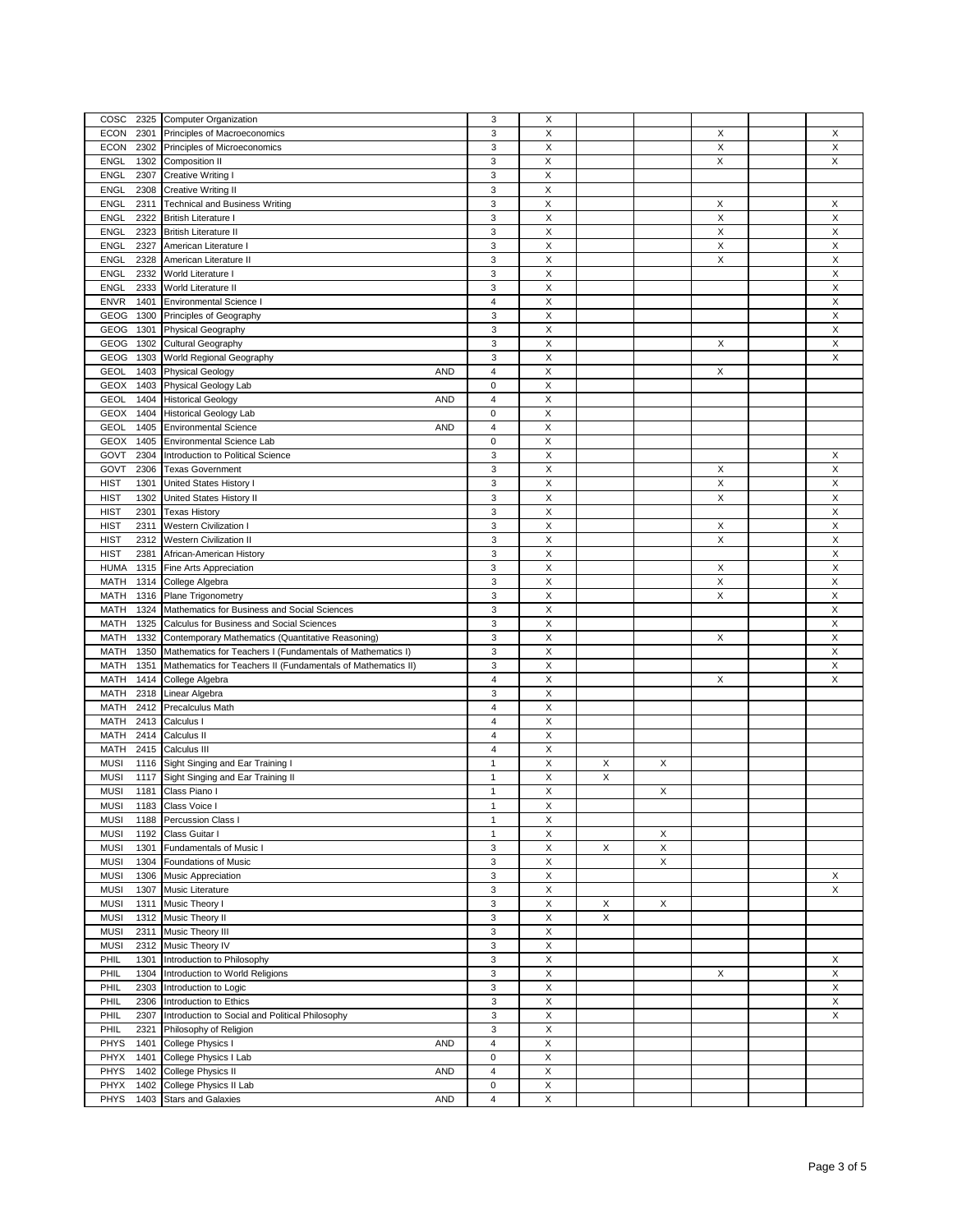| COSC                         | 2325 Computer Organization                                        | 3              | X           |   |   |   |                           |
|------------------------------|-------------------------------------------------------------------|----------------|-------------|---|---|---|---------------------------|
| <b>ECON</b><br>2301          | Principles of Macroeconomics                                      | 3              | X           |   |   | X | X                         |
| <b>ECON</b><br>2302          | Principles of Microeconomics                                      | 3              | X           |   |   | X | X                         |
| <b>ENGL</b><br>1302          | Composition II                                                    | 3              | Χ           |   |   | X | X                         |
|                              |                                                                   |                |             |   |   |   |                           |
| <b>ENGL</b><br>2307          | <b>Creative Writing I</b>                                         | 3              | X           |   |   |   |                           |
| <b>ENGL</b><br>2308          | <b>Creative Writing II</b>                                        | 3              | X           |   |   |   |                           |
| <b>ENGL</b><br>2311          | <b>Technical and Business Writing</b>                             | 3              | X           |   |   | Х | X                         |
| <b>ENGL</b><br>2322          | <b>British Literature I</b>                                       | 3              | X           |   |   | X | $\boldsymbol{\mathsf{X}}$ |
|                              |                                                                   |                |             |   |   |   |                           |
| <b>ENGL</b><br>2323          | <b>British Literature II</b>                                      | 3              | X           |   |   | X | X                         |
| <b>ENGL</b><br>2327          | American Literature I                                             | 3              | $\mathsf X$ |   |   | X | $\boldsymbol{\mathsf{X}}$ |
| <b>ENGL</b><br>2328          | American Literature II                                            | 3              | X           |   |   | X | X                         |
| <b>ENGL</b><br>2332          | World Literature I                                                | 3              | $\mathsf X$ |   |   |   | $\boldsymbol{\mathsf{X}}$ |
|                              |                                                                   |                |             |   |   |   |                           |
| <b>ENGL</b><br>2333          | World Literature II                                               | 3              | X           |   |   |   | X                         |
| <b>ENVR</b><br>1401          | <b>Environmental Science I</b>                                    | $\overline{4}$ | X           |   |   |   | $\mathsf X$               |
| GEOG<br>1300                 | Principles of Geography                                           | 3              | X           |   |   |   | X                         |
| GEOG<br>1301                 |                                                                   | 3              | Χ           |   |   |   | X                         |
|                              | Physical Geography                                                |                |             |   |   |   |                           |
| GEOG<br>1302                 | Cultural Geography                                                | 3              | X           |   |   | X | X                         |
| GEOG<br>1303                 | World Regional Geography                                          | 3              | Χ           |   |   |   | X                         |
| <b>GEOL</b><br>1403          | <b>Physical Geology</b><br><b>AND</b>                             | 4              | X           |   |   | X |                           |
| GEOX<br>1403                 |                                                                   | 0              | X           |   |   |   |                           |
|                              | Physical Geology Lab                                              |                |             |   |   |   |                           |
| <b>GEOL</b><br>1404          | <b>Historical Geology</b><br><b>AND</b>                           | 4              | X           |   |   |   |                           |
| GEOX<br>1404                 | <b>Historical Geology Lab</b>                                     | 0              | X           |   |   |   |                           |
| <b>GEOL</b><br>1405          | <b>AND</b><br><b>Environmental Science</b>                        | 4              | Χ           |   |   |   |                           |
|                              |                                                                   |                |             |   |   |   |                           |
| <b>GEOX</b><br>1405          | <b>Environmental Science Lab</b>                                  | 0              | Χ           |   |   |   |                           |
| GOVT<br>2304                 | Introduction to Political Science                                 | 3              | Χ           |   |   |   | X                         |
| GOVT<br>2306                 | <b>Texas Government</b>                                           | 3              | X           |   |   | X | X                         |
| <b>HIST</b><br>1301          | United States History I                                           | 3              | Χ           |   |   | X | X                         |
|                              |                                                                   |                |             |   |   |   |                           |
| <b>HIST</b><br>1302          | United States History II                                          | 3              | X           |   |   | X | X                         |
| <b>HIST</b><br>2301          | <b>Texas History</b>                                              | 3              | X           |   |   |   | X                         |
| <b>HIST</b><br>2311          | <b>Western Civilization I</b>                                     | 3              | Χ           |   |   | X | X                         |
| <b>HIST</b><br>2312          | <b>Western Civilization II</b>                                    | 3              | X           |   |   | X | Χ                         |
|                              |                                                                   |                |             |   |   |   |                           |
| <b>HIST</b><br>2381          | African-American History                                          | 3              | Χ           |   |   |   | X                         |
| <b>HUMA</b><br>1315          | Fine Arts Appreciation                                            | 3              | X           |   |   | X | X                         |
| <b>MATH</b><br>1314          | College Algebra                                                   | 3              | Χ           |   |   | X | X                         |
| <b>MATH</b><br>1316          |                                                                   | 3              | X           |   |   | X | X                         |
|                              | Plane Trigonometry                                                |                |             |   |   |   |                           |
| <b>MATH</b><br>1324          | Mathematics for Business and Social Sciences                      | 3              | X           |   |   |   | X                         |
| <b>MATH</b><br>1325          | Calculus for Business and Social Sciences                         | 3              | X           |   |   |   | X                         |
| <b>MATH</b><br>1332          | Contemporary Mathematics (Quantitative Reasoning)                 | 3              | Χ           |   |   | X | X                         |
|                              |                                                                   |                |             |   |   |   |                           |
| <b>MATH</b><br>1350          | Mathematics for Teachers I (Fundamentals of Mathematics I)        | 3              | X           |   |   |   | X                         |
| <b>MATH</b><br>1351          | Mathematics for Teachers II (Fundamentals of Mathematics II)      | 3              | X           |   |   |   | X                         |
| <b>MATH</b><br>1414          | College Algebra                                                   | 4              | Χ           |   |   | X | X                         |
| <b>MATH</b><br>2318          | Linear Algebra                                                    | 3              | X           |   |   |   |                           |
|                              |                                                                   |                |             |   |   |   |                           |
| <b>MATH</b><br>2412          | <b>Precalculus Math</b>                                           | 4              | Χ           |   |   |   |                           |
| 2413<br>MATH                 | Calculus I                                                        | $\overline{4}$ | X           |   |   |   |                           |
| <b>MATH</b><br>2414          | Calculus II                                                       | 4              | Χ           |   |   |   |                           |
| MATH<br>2415                 | Calculus III                                                      | $\overline{4}$ | X           |   |   |   |                           |
|                              |                                                                   |                |             |   |   |   |                           |
| <b>MUSI</b>                  | 1116 Sight Singing and Ear Training I                             | 1              | X           | X | X |   |                           |
| <b>MUSI</b><br>1117          | Sight Singing and Ear Training II                                 | 1              | X           | X |   |   |                           |
| <b>MUSI</b><br>1181          | Class Piano I                                                     | 1              | X           |   | X |   |                           |
| <b>MUSI</b>                  | 1183 Class Voice I                                                | 1              | X           |   |   |   |                           |
|                              |                                                                   |                |             |   |   |   |                           |
| <b>MUSI</b>                  | 1188 Percussion Class I                                           | 1              | X           |   |   |   |                           |
| <b>MUSI</b><br>1192          | Class Guitar I                                                    | 1              | X           |   | X |   |                           |
| <b>MUSI</b><br>1301          | Fundamentals of Music I                                           | 3              | X           | X | X |   |                           |
| <b>MUSI</b><br>1304          | Foundations of Music                                              | 3              | X           |   | X |   |                           |
|                              |                                                                   |                |             |   |   |   |                           |
| <b>MUSI</b><br>1306          | Music Appreciation                                                | 3              | X           |   |   |   | X                         |
| <b>MUSI</b><br>1307          | Music Literature                                                  | 3              | X           |   |   |   | X                         |
| <b>MUSI</b><br>1311          | Music Theory I                                                    | 3              | X           | X | X |   |                           |
| <b>MUSI</b><br>1312          | Music Theory II                                                   | 3              | Χ           | X |   |   |                           |
|                              |                                                                   |                |             |   |   |   |                           |
| <b>MUSI</b><br>2311          | Music Theory III                                                  | 3              | X           |   |   |   |                           |
| <b>MUSI</b><br>2312          | Music Theory IV                                                   | 3              | X           |   |   |   |                           |
|                              |                                                                   |                | X           |   |   |   | X                         |
|                              |                                                                   |                |             |   |   |   |                           |
| PHIL<br>1301                 | Introduction to Philosophy                                        | 3              |             |   |   |   |                           |
| PHIL<br>1304                 | Introduction to World Religions                                   | 3              | X           |   |   | X | X                         |
| PHIL<br>2303                 | Introduction to Logic                                             | 3              | X           |   |   |   | Χ                         |
| PHIL<br>2306                 | Introduction to Ethics                                            | 3              | X           |   |   |   | X                         |
|                              |                                                                   |                |             |   |   |   |                           |
| PHIL<br>2307                 | Introduction to Social and Political Philosophy                   | 3              | X           |   |   |   | X                         |
| PHIL<br>2321                 | Philosophy of Religion                                            | 3              | X           |   |   |   |                           |
| <b>PHYS</b><br>1401          | College Physics I<br><b>AND</b>                                   | 4              | Χ           |   |   |   |                           |
| PHYX<br>1401                 | College Physics I Lab                                             | 0              | Χ           |   |   |   |                           |
|                              |                                                                   |                |             |   |   |   |                           |
| <b>PHYS</b><br>1402          | College Physics II<br><b>AND</b>                                  | 4              | X           |   |   |   |                           |
| PHYX<br>1402<br>PHYS<br>1403 | College Physics II Lab<br><b>Stars and Galaxies</b><br><b>AND</b> | 0<br>4         | Χ<br>Χ      |   |   |   |                           |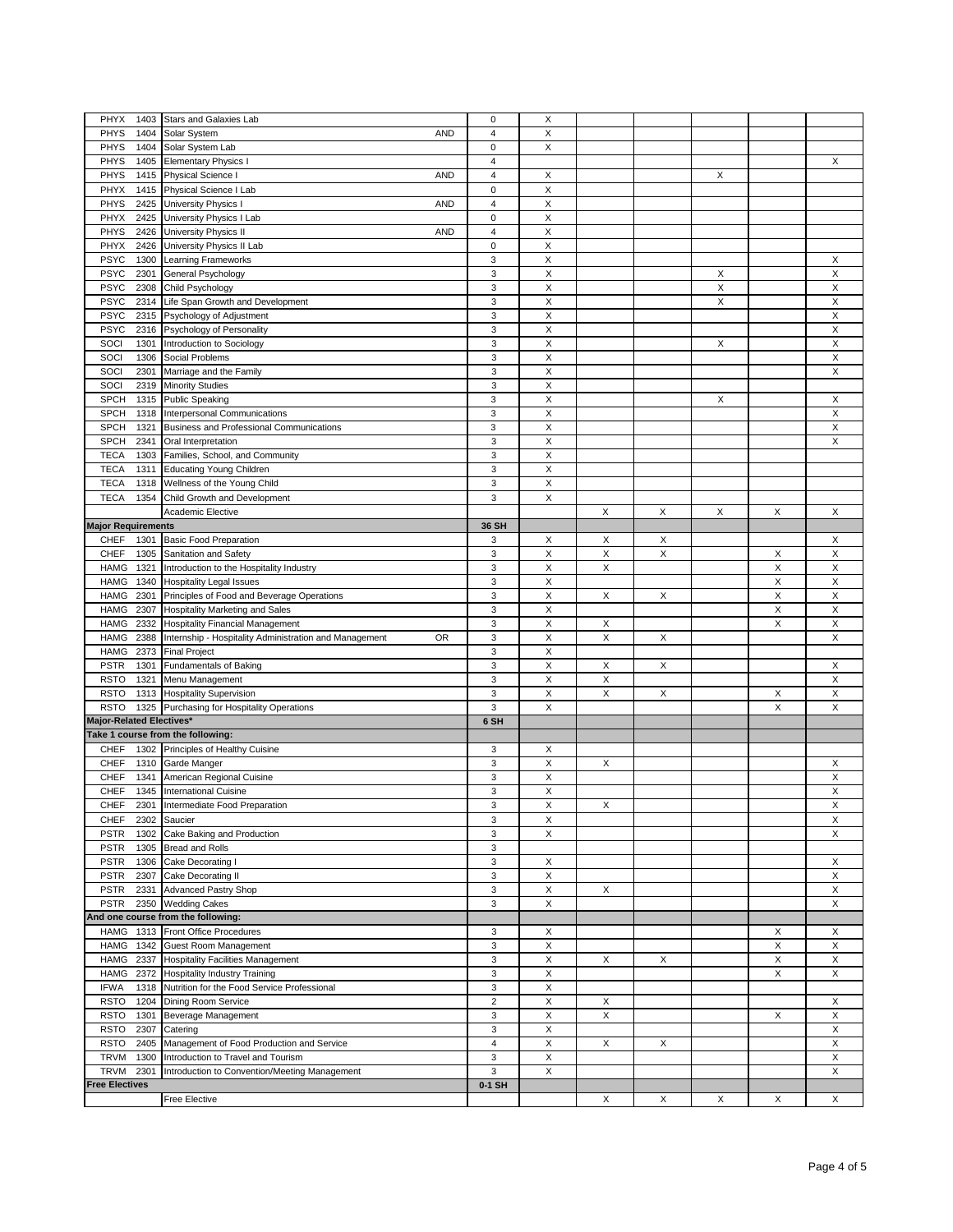| PHYX<br>1403                      | Stars and Galaxies Lab                                       | $\mathbf 0$             | X |   |   |   |   |             |
|-----------------------------------|--------------------------------------------------------------|-------------------------|---|---|---|---|---|-------------|
| <b>PHYS</b><br>1404               | <b>AND</b><br>Solar System                                   | $\overline{4}$          | X |   |   |   |   |             |
| <b>PHYS</b><br>1404               | Solar System Lab                                             | $\mathbf 0$             | X |   |   |   |   |             |
| <b>PHYS</b><br>1405               | <b>Elementary Physics I</b>                                  | $\overline{\mathbf{4}}$ |   |   |   |   |   | X           |
|                                   | <b>AND</b>                                                   | $\overline{\mathbf{4}}$ |   |   |   | X |   |             |
| <b>PHYS</b><br>1415               | <b>Physical Science I</b>                                    |                         | X |   |   |   |   |             |
| PHYX<br>1415                      | Physical Science I Lab                                       | $\mathbf 0$             | Χ |   |   |   |   |             |
| <b>PHYS</b><br>2425               | University Physics<br><b>AND</b>                             | $\overline{4}$          | X |   |   |   |   |             |
| PHYX<br>2425                      | University Physics I Lab                                     | $\mathbf 0$             | Χ |   |   |   |   |             |
| <b>PHYS</b><br>2426               | University Physics II<br><b>AND</b>                          | $\overline{\mathbf{4}}$ | X |   |   |   |   |             |
| PHYX<br>2426                      | University Physics II Lab                                    | $\mathbf 0$             | Χ |   |   |   |   |             |
| <b>PSYC</b><br>1300               | <b>Learning Frameworks</b>                                   | 3                       | X |   |   |   |   | X           |
| <b>PSYC</b><br>2301               | General Psychology                                           | 3                       | Χ |   |   | X |   | $\mathsf X$ |
| <b>PSYC</b><br>2308               | Child Psychology                                             | 3                       | Χ |   |   | X |   | X           |
| <b>PSYC</b><br>2314               | Life Span Growth and Development                             | 3                       | X |   |   | X |   | $\mathsf X$ |
| <b>PSYC</b><br>2315               | Psychology of Adjustment                                     | 3                       | X |   |   |   |   | Χ           |
| <b>PSYC</b><br>2316               | Psychology of Personality                                    | 3                       | X |   |   |   |   | Χ           |
| SOCI<br>1301                      | Introduction to Sociology                                    | 3                       | X |   |   | X |   | X           |
| SOCI<br>1306                      | Social Problems                                              | 3                       | X |   |   |   |   | Χ           |
| SOCI<br>2301                      |                                                              | 3                       | X |   |   |   |   | X           |
|                                   | Marriage and the Family                                      |                         |   |   |   |   |   |             |
| SOCI<br>2319                      | <b>Minority Studies</b>                                      | 3                       | X |   |   |   |   |             |
| <b>SPCH</b><br>1315               | <b>Public Speaking</b>                                       | 3                       | X |   |   | X |   | X           |
| <b>SPCH</b><br>1318               | Interpersonal Communications                                 | 3                       | X |   |   |   |   | X           |
| <b>SPCH</b><br>1321               | <b>Business and Professional Communications</b>              | 3                       | Χ |   |   |   |   | X           |
| <b>SPCH</b><br>2341               | Oral Interpretation                                          | 3                       | X |   |   |   |   | X           |
| <b>TECA</b><br>1303               | Families, School, and Community                              | 3                       | Χ |   |   |   |   |             |
| <b>TECA</b><br>1311               | <b>Educating Young Children</b>                              | 3                       | X |   |   |   |   |             |
| <b>TECA</b><br>1318               | Wellness of the Young Child                                  | 3                       | Χ |   |   |   |   |             |
| <b>TECA</b><br>1354               | Child Growth and Development                                 | 3                       | X |   |   |   |   |             |
|                                   | Academic Elective                                            |                         |   | X | X | X | X | Χ           |
| <b>Major Requirements</b>         |                                                              | 36 SH                   |   |   |   |   |   |             |
| <b>CHEF</b><br>1301               | <b>Basic Food Preparation</b>                                | 3                       | х | X | Х |   |   | X           |
| <b>CHEF</b><br>1305               | Sanitation and Safety                                        | 3                       | X | X | X |   | Х | Χ           |
|                                   |                                                              |                         |   |   |   |   |   |             |
| <b>HAMG</b><br>1321               | Introduction to the Hospitality Industry                     | 3                       | Χ | X |   |   | X | X           |
| <b>HAMG</b><br>1340               | <b>Hospitality Legal Issues</b>                              | 3                       | X |   |   |   | X | X           |
| <b>HAMG</b><br>2301               | Principles of Food and Beverage Operations                   | 3                       | Χ | X | X |   | Χ | X           |
| <b>HAMG</b><br>2307               | Hospitality Marketing and Sales                              | 3                       | X |   |   |   | X | Χ           |
| <b>HAMG</b><br>2332               | <b>Hospitality Financial Management</b>                      | 3                       | Χ | X |   |   | X | X           |
| <b>HAMG</b><br>2388               | Internship - Hospitality Administration and Management<br>0R | 3                       | X | X | X |   |   | X           |
| <b>HAMG</b><br>2373               | <b>Final Project</b>                                         | 3                       | Χ |   |   |   |   |             |
| <b>PSTR</b><br>1301               | <b>Fundamentals of Baking</b>                                | 3                       | Χ | X | X |   |   | X           |
| <b>RSTO</b><br>1321               | Menu Management                                              | 3                       | X | Χ |   |   |   | Χ           |
| <b>RSTO</b>                       | 1313 Hospitality Supervision                                 | 3                       | Χ | X | X |   | Х | X           |
| <b>RSTO</b><br>1325               | Purchasing for Hospitality Operations                        | 3                       | X |   |   |   | X | X           |
| <b>Major-Related Electives'</b>   |                                                              | 6 SH                    |   |   |   |   |   |             |
| Take 1 course from the following: |                                                              |                         |   |   |   |   |   |             |
| <b>CHEF</b>                       | 1302 Principles of Healthy Cuisine                           | 3                       | Х |   |   |   |   |             |
| CHEF                              | 1310 Garde Manger                                            | 3                       | Χ | X |   |   |   | Х           |
| <b>CHEF</b><br>1341               | American Regional Cuisine                                    | 3                       | Χ |   |   |   |   | X           |
| <b>CHEF</b>                       | <b>International Cuisine</b>                                 |                         |   |   |   |   |   |             |
| 1345                              |                                                              | 3                       | X |   |   |   |   | Χ           |
| CHEF                              | 2301 Intermediate Food Preparation                           | 3                       | X | Χ |   |   |   | X           |
| <b>CHEF</b><br>2302               | Saucier                                                      | 3                       | X |   |   |   |   | Χ           |
| <b>PSTR</b><br>1302               | Cake Baking and Production                                   | 3                       | X |   |   |   |   | X           |
| <b>PSTR</b><br>1305               | <b>Bread and Rolls</b>                                       | 3                       |   |   |   |   |   |             |
| <b>PSTR</b><br>1306               | Cake Decorating I                                            | 3                       | X |   |   |   |   | X           |
| <b>PSTR</b><br>2307               | Cake Decorating II                                           | 3                       | X |   |   |   |   | Χ           |
| <b>PSTR</b><br>2331               | <b>Advanced Pastry Shop</b>                                  | 3                       | X | X |   |   |   | X           |
| <b>PSTR</b><br>2350               | <b>Wedding Cakes</b>                                         | 3                       | X |   |   |   |   | Χ           |
|                                   | And one course from the following:                           |                         |   |   |   |   |   |             |
| <b>HAMG</b><br>1313               | Front Office Procedures                                      | 3                       | X |   |   |   | X | X           |
| <b>HAMG</b><br>1342               | <b>Guest Room Management</b>                                 | 3                       | X |   |   |   | X | X           |
| <b>HAMG</b><br>2337               | <b>Hospitality Facilities Management</b>                     | 3                       | X | X | X |   | X | Χ           |
| <b>HAMG</b><br>2372               | <b>Hospitality Industry Training</b>                         | 3                       | X |   |   |   | X | X           |
| <b>IFWA</b><br>1318               | Nutrition for the Food Service Professional                  | 3                       | Χ |   |   |   |   |             |
|                                   |                                                              | $\overline{2}$          | X |   |   |   |   |             |
| <b>RSTO</b><br>1204               | Dining Room Service                                          |                         |   | X |   |   |   | X           |
| <b>RSTO</b><br>1301               | Beverage Management                                          | 3                       | X | Χ |   |   | X | Χ           |
| 2307<br><b>RSTO</b>               | Catering                                                     | 3                       | X |   |   |   |   | X           |
| <b>RSTO</b><br>2405               | Management of Food Production and Service                    | 4                       | X | X | X |   |   | Χ           |
| TRVM<br>1300                      | Introduction to Travel and Tourism                           | 3                       | X |   |   |   |   | X           |
|                                   |                                                              |                         |   |   |   |   |   |             |
| TRVM<br>2301                      | Introduction to Convention/Meeting Management                | 3                       | X |   |   |   |   | Χ           |
| <b>Free Electives</b>             |                                                              | 0-1 SH                  |   |   |   |   |   |             |